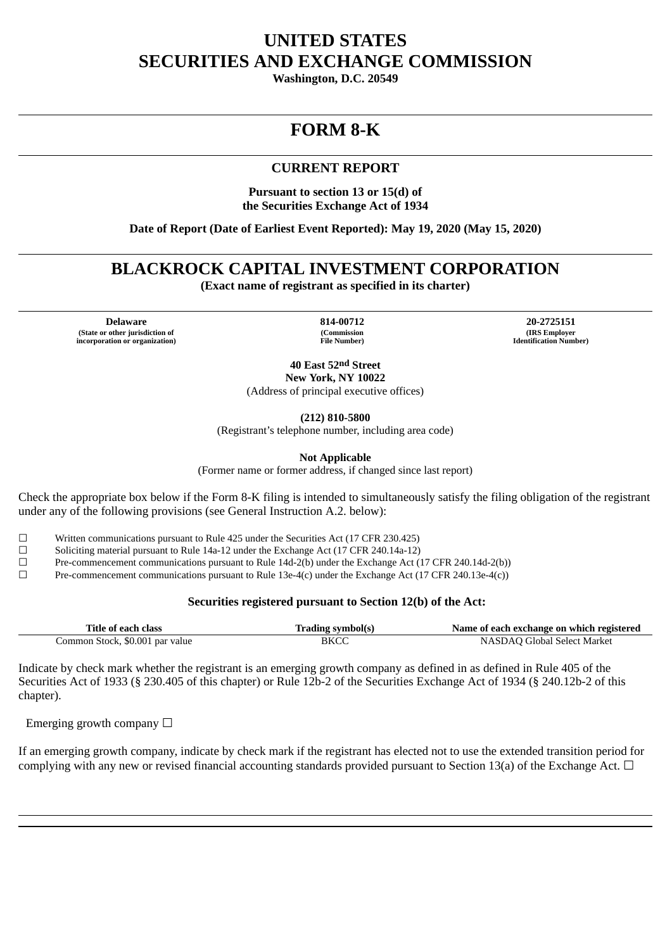## **UNITED STATES SECURITIES AND EXCHANGE COMMISSION**

**Washington, D.C. 20549**

# **FORM 8-K**

### **CURRENT REPORT**

**Pursuant to section 13 or 15(d) of the Securities Exchange Act of 1934**

**Date of Report (Date of Earliest Event Reported): May 19, 2020 (May 15, 2020)**

### **BLACKROCK CAPITAL INVESTMENT CORPORATION**

**(Exact name of registrant as specified in its charter)**

**Delaware 814-00712 20-2725151 (State or other jurisdiction of incorporation or organization)**

**(Commission File Number)**

**(IRS Employer Identification Number)**

**40 East 52nd Street New York, NY 10022**

(Address of principal executive offices)

**(212) 810-5800**

(Registrant's telephone number, including area code)

**Not Applicable**

(Former name or former address, if changed since last report)

Check the appropriate box below if the Form 8-K filing is intended to simultaneously satisfy the filing obligation of the registrant under any of the following provisions (see General Instruction A.2. below):

☐ Written communications pursuant to Rule 425 under the Securities Act (17 CFR 230.425)

 $\Box$  Soliciting material pursuant to Rule 14a-12 under the Exchange Act (17 CFR 240.14a-12)

☐ Pre-commencement communications pursuant to Rule 14d-2(b) under the Exchange Act (17 CFR 240.14d-2(b))

☐ Pre-commencement communications pursuant to Rule 13e-4(c) under the Exchange Act (17 CFR 240.13e-4(c))

#### **Securities registered pursuant to Section 12(b) of the Act:**

| Title of each class             | Trading symbol(s) | Name of each exchange on which registered |
|---------------------------------|-------------------|-------------------------------------------|
| Common Stock, \$0.001 par value | BKCC              | NASDAQ Global Select Market               |

Indicate by check mark whether the registrant is an emerging growth company as defined in as defined in Rule 405 of the Securities Act of 1933 (§ 230.405 of this chapter) or Rule 12b-2 of the Securities Exchange Act of 1934 (§ 240.12b-2 of this chapter).

Emerging growth company  $\Box$ 

If an emerging growth company, indicate by check mark if the registrant has elected not to use the extended transition period for complying with any new or revised financial accounting standards provided pursuant to Section 13(a) of the Exchange Act.  $\Box$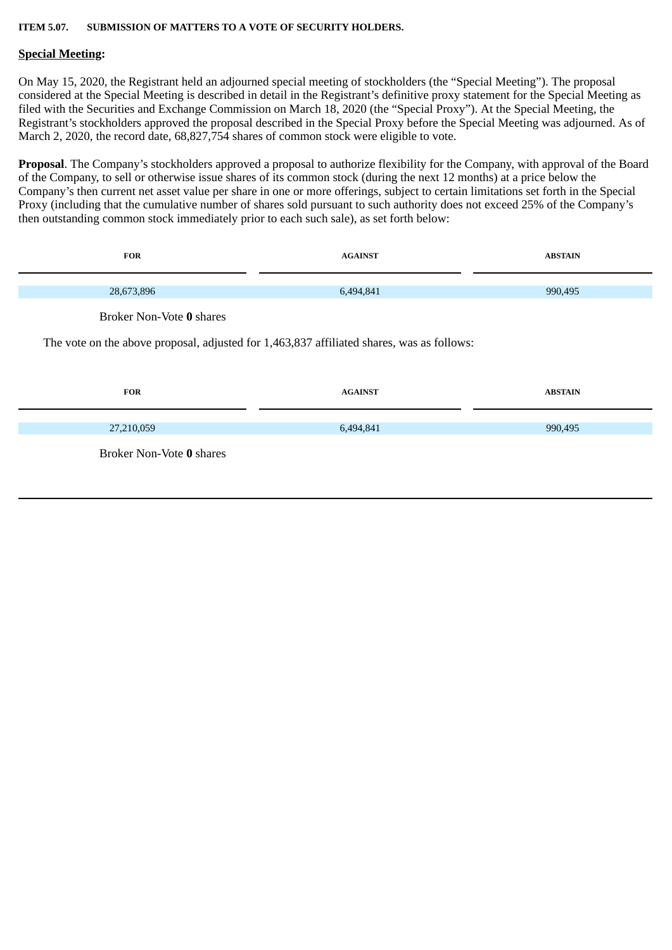#### **ITEM 5.07. SUBMISSION OF MATTERS TO A VOTE OF SECURITY HOLDERS.**

#### **Special Meeting:**

On May 15, 2020, the Registrant held an adjourned special meeting of stockholders (the "Special Meeting"). The proposal considered at the Special Meeting is described in detail in the Registrant's definitive proxy statement for the Special Meeting as filed with the Securities and Exchange Commission on March 18, 2020 (the "Special Proxy"). At the Special Meeting, the Registrant's stockholders approved the proposal described in the Special Proxy before the Special Meeting was adjourned. As of March 2, 2020, the record date, 68,827,754 shares of common stock were eligible to vote.

**Proposal**. The Company's stockholders approved a proposal to authorize flexibility for the Company, with approval of the Board of the Company, to sell or otherwise issue shares of its common stock (during the next 12 months) at a price below the Company's then current net asset value per share in one or more offerings, subject to certain limitations set forth in the Special Proxy (including that the cumulative number of shares sold pursuant to such authority does not exceed 25% of the Company's then outstanding common stock immediately prior to each such sale), as set forth below:

| <b>FOR</b>                                                                                | <b>AGAINST</b> | <b>ABSTAIN</b> |  |
|-------------------------------------------------------------------------------------------|----------------|----------------|--|
| 28,673,896                                                                                | 6,494,841      | 990,495        |  |
| Broker Non-Vote 0 shares                                                                  |                |                |  |
| The vote on the above proposal, adjusted for 1,463,837 affiliated shares, was as follows: |                |                |  |
|                                                                                           |                |                |  |
| <b>FOR</b>                                                                                | <b>AGAINST</b> | <b>ABSTAIN</b> |  |
| 27,210,059                                                                                | 6,494,841      | 990,495        |  |
| Broker Non-Vote 0 shares                                                                  |                |                |  |
|                                                                                           |                |                |  |